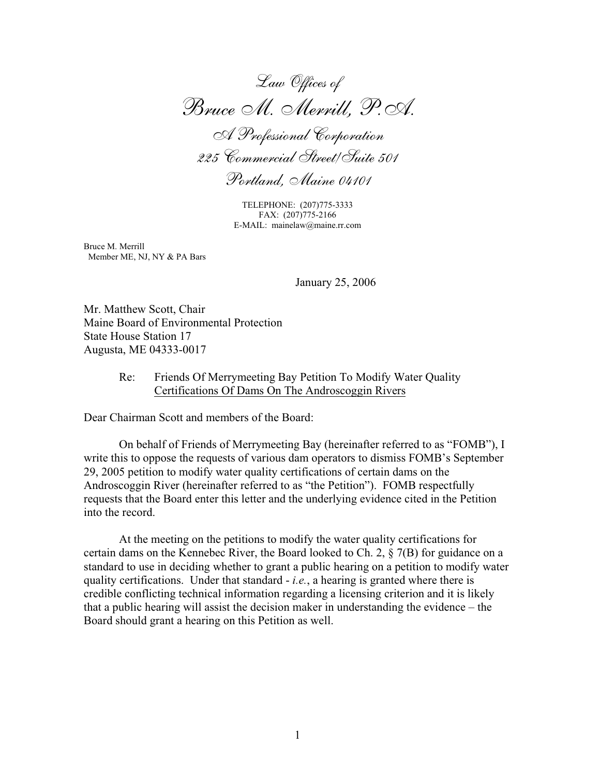*Law Offices of Bruce M. Merrill, P.A. A Professional Corporation 225 Commercial Street/Suite 501 Portland, Maine 04101*

TELEPHONE: (207)775-3333 FAX: (207)775-2166 E-MAIL: mainelaw@maine.rr.com

Bruce M. Merrill Member ME, NJ, NY & PA Bars

January 25, 2006

Mr. Matthew Scott, Chair Maine Board of Environmental Protection State House Station 17 Augusta, ME 04333-0017

### Re: Friends Of Merrymeeting Bay Petition To Modify Water Quality Certifications Of Dams On The Androscoggin Rivers

Dear Chairman Scott and members of the Board:

On behalf of Friends of Merrymeeting Bay (hereinafter referred to as "FOMB"), I write this to oppose the requests of various dam operators to dismiss FOMB's September 29, 2005 petition to modify water quality certifications of certain dams on the Androscoggin River (hereinafter referred to as "the Petition"). FOMB respectfully requests that the Board enter this letter and the underlying evidence cited in the Petition into the record.

At the meeting on the petitions to modify the water quality certifications for certain dams on the Kennebec River, the Board looked to Ch. 2,  $\S$  7(B) for guidance on a standard to use in deciding whether to grant a public hearing on a petition to modify water quality certifications. Under that standard - *i.e.*, a hearing is granted where there is credible conflicting technical information regarding a licensing criterion and it is likely that a public hearing will assist the decision maker in understanding the evidence – the Board should grant a hearing on this Petition as well.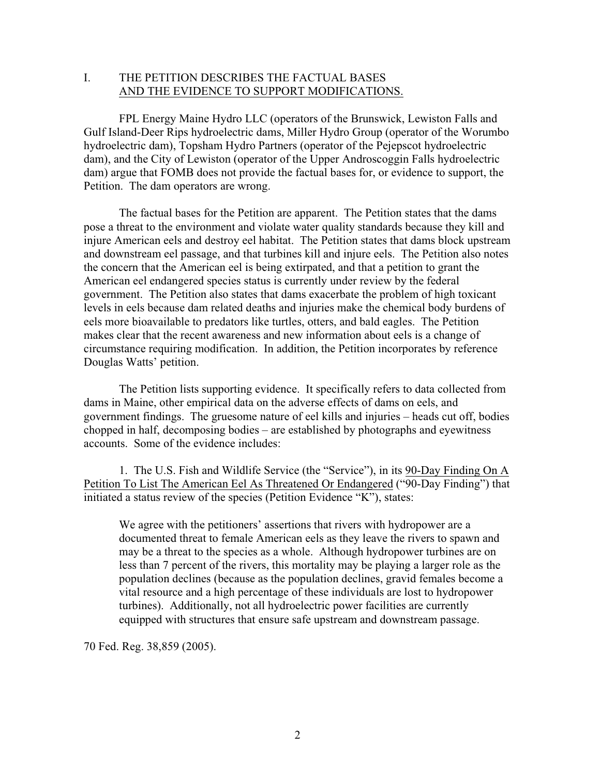# I. THE PETITION DESCRIBES THE FACTUAL BASES AND THE EVIDENCE TO SUPPORT MODIFICATIONS.

FPL Energy Maine Hydro LLC (operators of the Brunswick, Lewiston Falls and Gulf Island-Deer Rips hydroelectric dams, Miller Hydro Group (operator of the Worumbo hydroelectric dam), Topsham Hydro Partners (operator of the Pejepscot hydroelectric dam), and the City of Lewiston (operator of the Upper Androscoggin Falls hydroelectric dam) argue that FOMB does not provide the factual bases for, or evidence to support, the Petition. The dam operators are wrong.

The factual bases for the Petition are apparent. The Petition states that the dams pose a threat to the environment and violate water quality standards because they kill and injure American eels and destroy eel habitat. The Petition states that dams block upstream and downstream eel passage, and that turbines kill and injure eels. The Petition also notes the concern that the American eel is being extirpated, and that a petition to grant the American eel endangered species status is currently under review by the federal government. The Petition also states that dams exacerbate the problem of high toxicant levels in eels because dam related deaths and injuries make the chemical body burdens of eels more bioavailable to predators like turtles, otters, and bald eagles. The Petition makes clear that the recent awareness and new information about eels is a change of circumstance requiring modification. In addition, the Petition incorporates by reference Douglas Watts' petition.

The Petition lists supporting evidence. It specifically refers to data collected from dams in Maine, other empirical data on the adverse effects of dams on eels, and government findings. The gruesome nature of eel kills and injuries – heads cut off, bodies chopped in half, decomposing bodies – are established by photographs and eyewitness accounts. Some of the evidence includes:

1. The U.S. Fish and Wildlife Service (the "Service"), in its 90-Day Finding On A Petition To List The American Eel As Threatened Or Endangered ("90-Day Finding") that initiated a status review of the species (Petition Evidence "K"), states:

We agree with the petitioners' assertions that rivers with hydropower are a documented threat to female American eels as they leave the rivers to spawn and may be a threat to the species as a whole. Although hydropower turbines are on less than 7 percent of the rivers, this mortality may be playing a larger role as the population declines (because as the population declines, gravid females become a vital resource and a high percentage of these individuals are lost to hydropower turbines). Additionally, not all hydroelectric power facilities are currently equipped with structures that ensure safe upstream and downstream passage.

70 Fed. Reg. 38,859 (2005).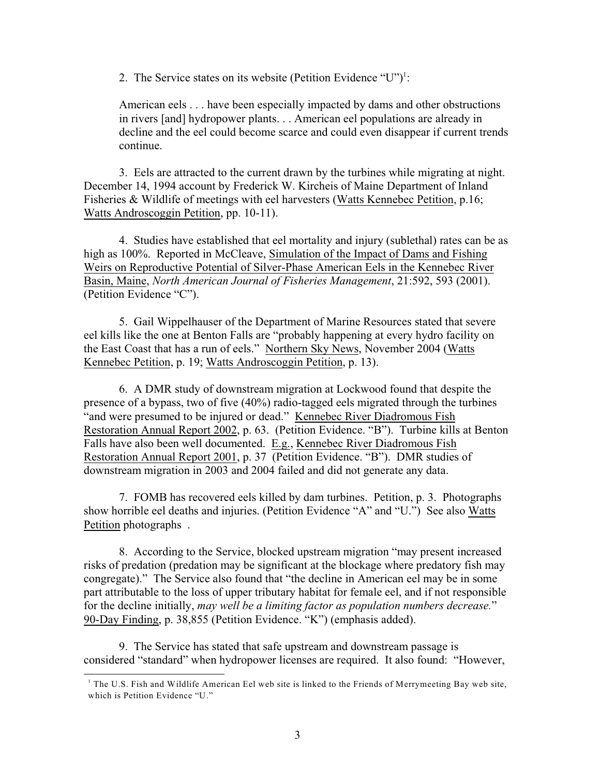2. The Service states on its website (Petition Evidence "U")<sup>1</sup>:

American eels . . . have been especially impacted by dams and other obstructions in rivers [and] hydropower plants. . . American eel populations are already in decline and the eel could become scarce and could even disappear if current trends continue.

3. Eels are attracted to the current drawn by the turbines while migrating at night. December 14, 1994 account by Frederick W. Kircheis of Maine Department of Inland Fisheries & Wildlife of meetings with eel harvesters (Watts Kennebec Petition, p.16; Watts Androscoggin Petition, pp. 10-11).

4. Studies have established that eel mortality and injury (sublethal) rates can be as high as 100%. Reported in McCleave, Simulation of the Impact of Dams and Fishing Weirs on Reproductive Potential of Silver-Phase American Eels in the Kennebec River Basin, Maine, *North American Journal of Fisheries Management*, 21:592, 593 (2001). (Petition Evidence "C").

5. Gail Wippelhauser of the Department of Marine Resources stated that severe eel kills like the one at Benton Falls are "probably happening at every hydro facility on the East Coast that has a run of eels." Northern Sky News, November 2004 (Watts Kennebec Petition, p. 19; Watts Androscoggin Petition, p. 13).

6. A DMR study of downstream migration at Lockwood found that despite the presence of a bypass, two of five (40%) radio-tagged eels migrated through the turbines "and were presumed to be injured or dead." Kennebec River Diadromous Fish Restoration Annual Report 2002, p. 63. (Petition Evidence. "B"). Turbine kills at Benton Falls have also been well documented. E.g., Kennebec River Diadromous Fish Restoration Annual Report 2001, p. 37 (Petition Evidence. "B"). DMR studies of downstream migration in 2003 and 2004 failed and did not generate any data.

7. FOMB has recovered eels killed by dam turbines. Petition, p. 3. Photographs show horrible eel deaths and injuries. (Petition Evidence "A" and "U.") See also Watts Petition photographs .

8. According to the Service, blocked upstream migration "may present increased risks of predation (predation may be significant at the blockage where predatory fish may congregate)." The Service also found that "the decline in American eel may be in some part attributable to the loss of upper tributary habitat for female eel, and if not responsible for the decline initially, *may well be a limiting factor as population numbers decrease.*" 90-Day Finding, p. 38,855 (Petition Evidence. "K") (emphasis added).

9. The Service has stated that safe upstream and downstream passage is considered "standard" when hydropower licenses are required. It also found: "However,

<sup>&</sup>lt;sup>1</sup> The U.S. Fish and Wildlife American Eel web site is linked to the Friends of Merrymeeting Bay web site, which is Petition Evidence "U."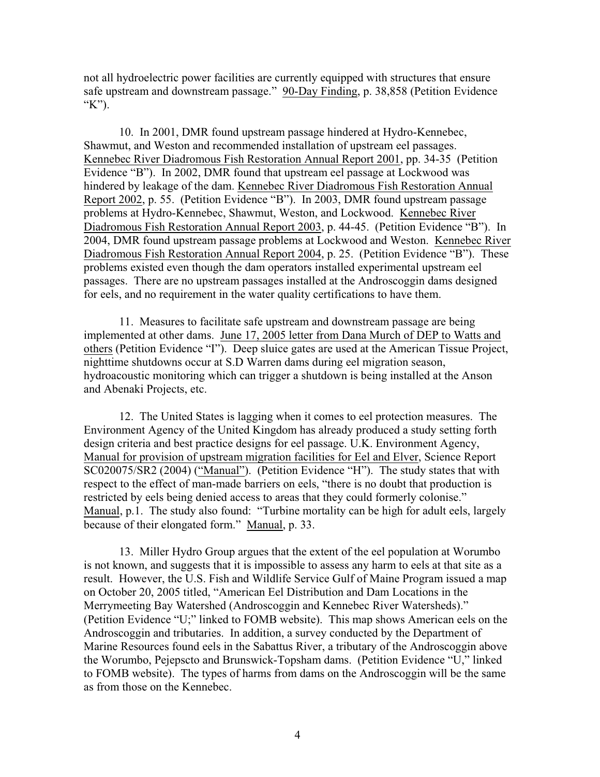not all hydroelectric power facilities are currently equipped with structures that ensure safe upstream and downstream passage." 90-Day Finding, p. 38,858 (Petition Evidence "K").

10. In 2001, DMR found upstream passage hindered at Hydro-Kennebec, Shawmut, and Weston and recommended installation of upstream eel passages. Kennebec River Diadromous Fish Restoration Annual Report 2001, pp. 34-35 (Petition Evidence "B"). In 2002, DMR found that upstream eel passage at Lockwood was hindered by leakage of the dam. Kennebec River Diadromous Fish Restoration Annual Report 2002, p. 55. (Petition Evidence "B"). In 2003, DMR found upstream passage problems at Hydro-Kennebec, Shawmut, Weston, and Lockwood. Kennebec River Diadromous Fish Restoration Annual Report 2003, p. 44-45. (Petition Evidence "B"). In 2004, DMR found upstream passage problems at Lockwood and Weston. Kennebec River Diadromous Fish Restoration Annual Report 2004, p. 25. (Petition Evidence "B"). These problems existed even though the dam operators installed experimental upstream eel passages. There are no upstream passages installed at the Androscoggin dams designed for eels, and no requirement in the water quality certifications to have them.

11. Measures to facilitate safe upstream and downstream passage are being implemented at other dams. June 17, 2005 letter from Dana Murch of DEP to Watts and others (Petition Evidence "I"). Deep sluice gates are used at the American Tissue Project, nighttime shutdowns occur at S.D Warren dams during eel migration season, hydroacoustic monitoring which can trigger a shutdown is being installed at the Anson and Abenaki Projects, etc.

12. The United States is lagging when it comes to eel protection measures. The Environment Agency of the United Kingdom has already produced a study setting forth design criteria and best practice designs for eel passage. U.K. Environment Agency, Manual for provision of upstream migration facilities for Eel and Elver, Science Report SC020075/SR2 (2004) ("Manual"). (Petition Evidence "H"). The study states that with respect to the effect of man-made barriers on eels, "there is no doubt that production is restricted by eels being denied access to areas that they could formerly colonise." Manual, p.1. The study also found: "Turbine mortality can be high for adult eels, largely because of their elongated form." Manual, p. 33.

13. Miller Hydro Group argues that the extent of the eel population at Worumbo is not known, and suggests that it is impossible to assess any harm to eels at that site as a result. However, the U.S. Fish and Wildlife Service Gulf of Maine Program issued a map on October 20, 2005 titled, "American Eel Distribution and Dam Locations in the Merrymeeting Bay Watershed (Androscoggin and Kennebec River Watersheds)." (Petition Evidence "U;" linked to FOMB website). This map shows American eels on the Androscoggin and tributaries. In addition, a survey conducted by the Department of Marine Resources found eels in the Sabattus River, a tributary of the Androscoggin above the Worumbo, Pejepscto and Brunswick-Topsham dams. (Petition Evidence "U," linked to FOMB website). The types of harms from dams on the Androscoggin will be the same as from those on the Kennebec.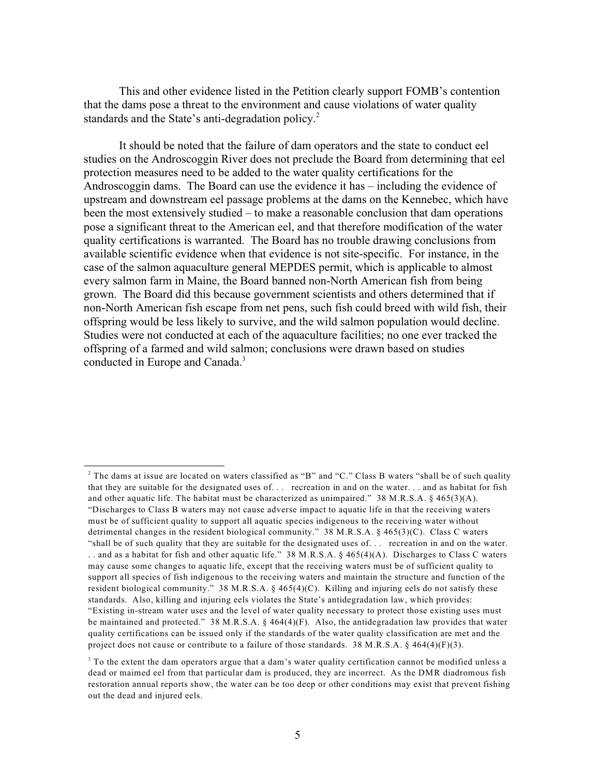This and other evidence listed in the Petition clearly support FOMB's contention that the dams pose a threat to the environment and cause violations of water quality standards and the State's anti-degradation policy.<sup>2</sup>

It should be noted that the failure of dam operators and the state to conduct eel studies on the Androscoggin River does not preclude the Board from determining that eel protection measures need to be added to the water quality certifications for the Androscoggin dams. The Board can use the evidence it has – including the evidence of upstream and downstream eel passage problems at the dams on the Kennebec, which have been the most extensively studied – to make a reasonable conclusion that dam operations pose a significant threat to the American eel, and that therefore modification of the water quality certifications is warranted. The Board has no trouble drawing conclusions from available scientific evidence when that evidence is not site-specific. For instance, in the case of the salmon aquaculture general MEPDES permit, which is applicable to almost every salmon farm in Maine, the Board banned non-North American fish from being grown. The Board did this because government scientists and others determined that if non-North American fish escape from net pens, such fish could breed with wild fish, their offspring would be less likely to survive, and the wild salmon population would decline. Studies were not conducted at each of the aquaculture facilities; no one ever tracked the offspring of a farmed and wild salmon; conclusions were drawn based on studies conducted in Europe and Canada.<sup>3</sup>

 $^2$  The dams at issue are located on waters classified as "B" and "C." Class B waters "shall be of such quality that they are suitable for the designated uses of. . . recreation in and on the water. . . and as habitat for fish and other aquatic life. The habitat must be characterized as unimpaired." 38 M.R.S.A. § 465(3)(A). "Discharges to Class B waters may not cause adverse impact to aquatic life in that the receiving waters must be of sufficient quality to support all aquatic species indigenous to the receiving water without detrimental changes in the resident biological community." 38 M.R.S.A. § 465(3)(C). Class C waters "shall be of such quality that they are suitable for the designated uses of. . . recreation in and on the water. . . and as a habitat for fish and other aquatic life." 38 M.R.S.A. § 465(4)(A). Discharges to Class C waters may cause some changes to aquatic life, except that the receiving waters must be of sufficient quality to support all species of fish indigenous to the receiving waters and maintain the structure and function of the resident biological community." 38 M.R.S.A. § 465(4)(C). Killing and injuring eels do not satisfy these standards. Also, killing and injuring eels violates the State's antidegradation law, which provides: "Existing in-stream water uses and the level of water quality necessary to protect those existing uses must be maintained and protected." 38 M.R.S.A. § 464(4)(F). Also, the antidegradation law provides that water quality certifications can be issued only if the standards of the water quality classification are met and the project does not cause or contribute to a failure of those standards. 38 M.R.S.A.  $\S$  464(4)(F)(3).

 $3$  To the extent the dam operators argue that a dam's water quality certification cannot be modified unless a dead or maimed eel from that particular dam is produced, they are incorrect. As the DMR diadromous fish restoration annual reports show, the water can be too deep or other conditions may exist that prevent fishing out the dead and injured eels.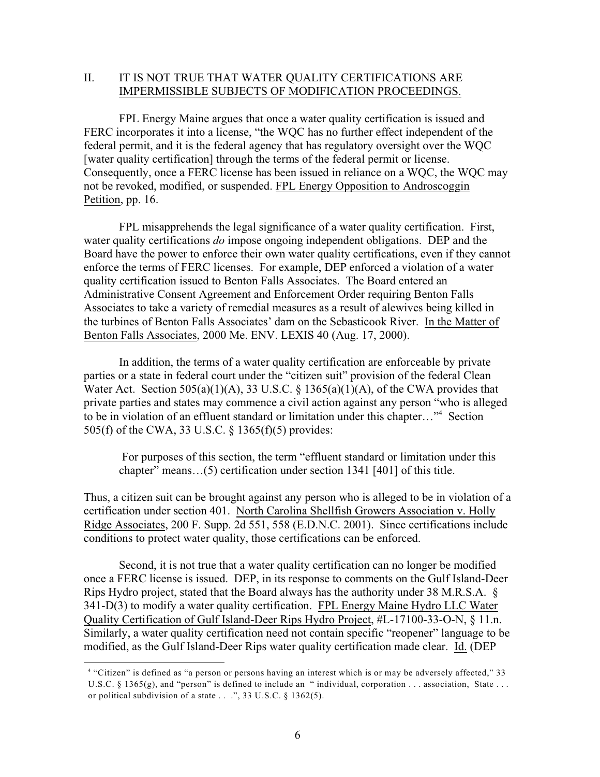# II. IT IS NOT TRUE THAT WATER QUALITY CERTIFICATIONS ARE IMPERMISSIBLE SUBJECTS OF MODIFICATION PROCEEDINGS.

FPL Energy Maine argues that once a water quality certification is issued and FERC incorporates it into a license, "the WQC has no further effect independent of the federal permit, and it is the federal agency that has regulatory oversight over the WQC [water quality certification] through the terms of the federal permit or license. Consequently, once a FERC license has been issued in reliance on a WQC, the WQC may not be revoked, modified, or suspended. FPL Energy Opposition to Androscoggin Petition, pp. 16.

FPL misapprehends the legal significance of a water quality certification. First, water quality certifications *do* impose ongoing independent obligations. DEP and the Board have the power to enforce their own water quality certifications, even if they cannot enforce the terms of FERC licenses. For example, DEP enforced a violation of a water quality certification issued to Benton Falls Associates. The Board entered an Administrative Consent Agreement and Enforcement Order requiring Benton Falls Associates to take a variety of remedial measures as a result of alewives being killed in the turbines of Benton Falls Associates' dam on the Sebasticook River. In the Matter of Benton Falls Associates, 2000 Me. ENV. LEXIS 40 (Aug. 17, 2000).

In addition, the terms of a water quality certification are enforceable by private parties or a state in federal court under the "citizen suit" provision of the federal Clean Water Act. Section  $505(a)(1)(A)$ , 33 U.S.C. § 1365(a)(1)(A), of the CWA provides that private parties and states may commence a civil action against any person "who is alleged to be in violation of an effluent standard or limitation under this chapter..."<sup>4</sup> Section 505(f) of the CWA, 33 U.S.C. § 1365(f)(5) provides:

 For purposes of this section, the term "effluent standard or limitation under this chapter" means…(5) certification under section 1341 [401] of this title.

Thus, a citizen suit can be brought against any person who is alleged to be in violation of a certification under section 401. North Carolina Shellfish Growers Association v. Holly Ridge Associates, 200 F. Supp. 2d 551, 558 (E.D.N.C. 2001). Since certifications include conditions to protect water quality, those certifications can be enforced.

Second, it is not true that a water quality certification can no longer be modified once a FERC license is issued. DEP, in its response to comments on the Gulf Island-Deer Rips Hydro project, stated that the Board always has the authority under 38 M.R.S.A. § 341-D(3) to modify a water quality certification. FPL Energy Maine Hydro LLC Water Quality Certification of Gulf Island-Deer Rips Hydro Project, #L-17100-33-O-N, § 11.n. Similarly, a water quality certification need not contain specific "reopener" language to be modified, as the Gulf Island-Deer Rips water quality certification made clear. Id. (DEP

<sup>&</sup>lt;sup>4</sup> "Citizen" is defined as "a person or persons having an interest which is or may be adversely affected," 33 U.S.C. § 1365(g), and "person" is defined to include an "individual, corporation . . . association, State . . . or political subdivision of a state  $\ldots$  ", 33 U.S.C. § 1362(5).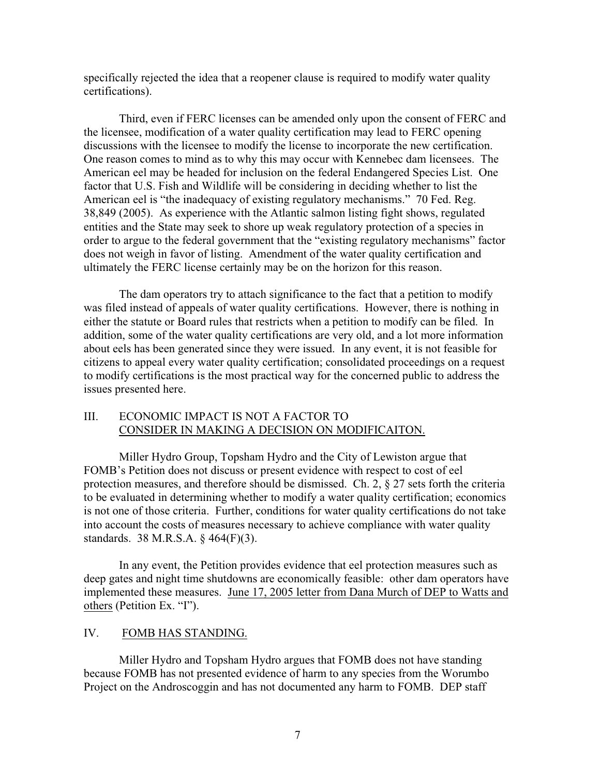specifically rejected the idea that a reopener clause is required to modify water quality certifications).

Third, even if FERC licenses can be amended only upon the consent of FERC and the licensee, modification of a water quality certification may lead to FERC opening discussions with the licensee to modify the license to incorporate the new certification. One reason comes to mind as to why this may occur with Kennebec dam licensees. The American eel may be headed for inclusion on the federal Endangered Species List. One factor that U.S. Fish and Wildlife will be considering in deciding whether to list the American eel is "the inadequacy of existing regulatory mechanisms." 70 Fed. Reg. 38,849 (2005). As experience with the Atlantic salmon listing fight shows, regulated entities and the State may seek to shore up weak regulatory protection of a species in order to argue to the federal government that the "existing regulatory mechanisms" factor does not weigh in favor of listing. Amendment of the water quality certification and ultimately the FERC license certainly may be on the horizon for this reason.

The dam operators try to attach significance to the fact that a petition to modify was filed instead of appeals of water quality certifications. However, there is nothing in either the statute or Board rules that restricts when a petition to modify can be filed. In addition, some of the water quality certifications are very old, and a lot more information about eels has been generated since they were issued. In any event, it is not feasible for citizens to appeal every water quality certification; consolidated proceedings on a request to modify certifications is the most practical way for the concerned public to address the issues presented here.

# III. ECONOMIC IMPACT IS NOT A FACTOR TO CONSIDER IN MAKING A DECISION ON MODIFICAITON.

Miller Hydro Group, Topsham Hydro and the City of Lewiston argue that FOMB's Petition does not discuss or present evidence with respect to cost of eel protection measures, and therefore should be dismissed. Ch. 2, § 27 sets forth the criteria to be evaluated in determining whether to modify a water quality certification; economics is not one of those criteria. Further, conditions for water quality certifications do not take into account the costs of measures necessary to achieve compliance with water quality standards. 38 M.R.S.A. § 464(F)(3).

In any event, the Petition provides evidence that eel protection measures such as deep gates and night time shutdowns are economically feasible: other dam operators have implemented these measures. June 17, 2005 letter from Dana Murch of DEP to Watts and others (Petition Ex. "I").

### IV. FOMB HAS STANDING.

Miller Hydro and Topsham Hydro argues that FOMB does not have standing because FOMB has not presented evidence of harm to any species from the Worumbo Project on the Androscoggin and has not documented any harm to FOMB. DEP staff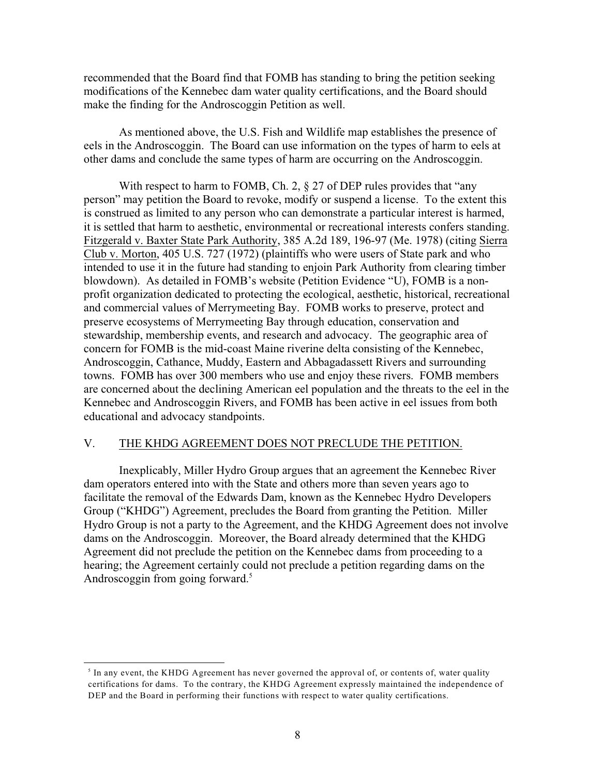recommended that the Board find that FOMB has standing to bring the petition seeking modifications of the Kennebec dam water quality certifications, and the Board should make the finding for the Androscoggin Petition as well.

As mentioned above, the U.S. Fish and Wildlife map establishes the presence of eels in the Androscoggin. The Board can use information on the types of harm to eels at other dams and conclude the same types of harm are occurring on the Androscoggin.

With respect to harm to FOMB, Ch. 2,  $\S 27$  of DEP rules provides that "any person" may petition the Board to revoke, modify or suspend a license. To the extent this is construed as limited to any person who can demonstrate a particular interest is harmed, it is settled that harm to aesthetic, environmental or recreational interests confers standing. Fitzgerald v. Baxter State Park Authority, 385 A.2d 189, 196-97 (Me. 1978) (citing Sierra Club v. Morton, 405 U.S. 727 (1972) (plaintiffs who were users of State park and who intended to use it in the future had standing to enjoin Park Authority from clearing timber blowdown). As detailed in FOMB's website (Petition Evidence "U), FOMB is a nonprofit organization dedicated to protecting the ecological, aesthetic, historical, recreational and commercial values of Merrymeeting Bay. FOMB works to preserve, protect and preserve ecosystems of Merrymeeting Bay through education, conservation and stewardship, membership events, and research and advocacy. The geographic area of concern for FOMB is the mid-coast Maine riverine delta consisting of the Kennebec, Androscoggin, Cathance, Muddy, Eastern and Abbagadassett Rivers and surrounding towns. FOMB has over 300 members who use and enjoy these rivers. FOMB members are concerned about the declining American eel population and the threats to the eel in the Kennebec and Androscoggin Rivers, and FOMB has been active in eel issues from both educational and advocacy standpoints.

## V. THE KHDG AGREEMENT DOES NOT PRECLUDE THE PETITION.

Inexplicably, Miller Hydro Group argues that an agreement the Kennebec River dam operators entered into with the State and others more than seven years ago to facilitate the removal of the Edwards Dam, known as the Kennebec Hydro Developers Group ("KHDG") Agreement, precludes the Board from granting the Petition. Miller Hydro Group is not a party to the Agreement, and the KHDG Agreement does not involve dams on the Androscoggin. Moreover, the Board already determined that the KHDG Agreement did not preclude the petition on the Kennebec dams from proceeding to a hearing; the Agreement certainly could not preclude a petition regarding dams on the Androscoggin from going forward.<sup>5</sup>

 $\delta$  In any event, the KHDG Agreement has never governed the approval of, or contents of, water quality certifications for dams. To the contrary, the KHDG Agreement expressly maintained the independence of DEP and the Board in performing their functions with respect to water quality certifications.